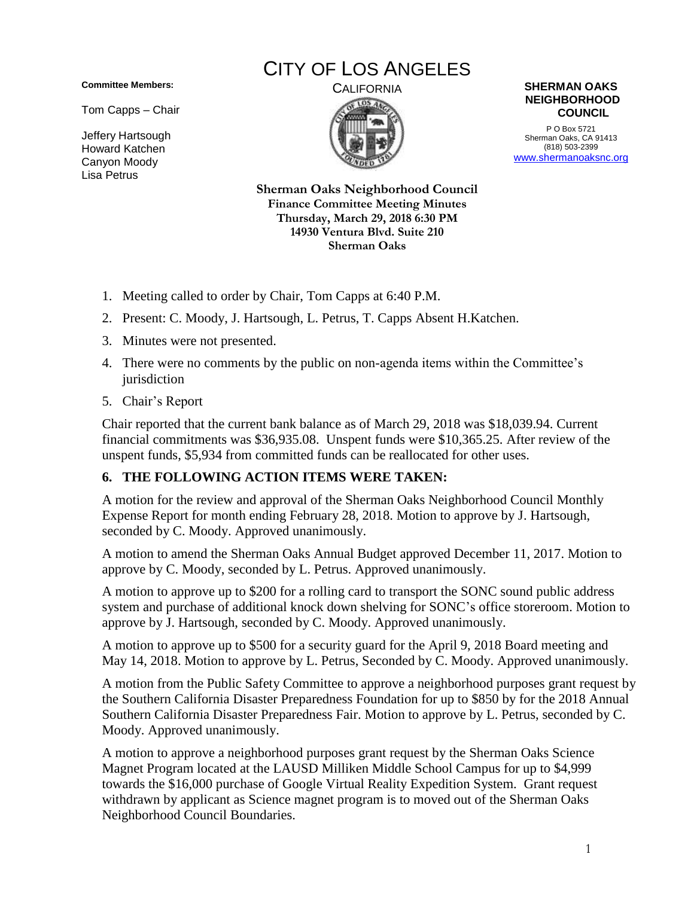**Committee Members:**

Tom Capps – Chair

Jeffery Hartsough Howard Katchen Canyon Moody Lisa Petrus

## CITY OF LOS ANGELES





P O Box 5721 Sherman Oaks, CA 91413 (818) 503-2399 [www.shermanoaksnc.org](http://www.shermanoaksnc.org/)

**Sherman Oaks Neighborhood Council Finance Committee Meeting Minutes Thursday, March 29, 2018 6:30 PM 14930 Ventura Blvd. Suite 210 Sherman Oaks**

- 1. Meeting called to order by Chair, Tom Capps at 6:40 P.M.
- 2. Present: C. Moody, J. Hartsough, L. Petrus, T. Capps Absent H.Katchen.
- 3. Minutes were not presented.
- 4. There were no comments by the public on non-agenda items within the Committee's jurisdiction
- 5. Chair's Report

Chair reported that the current bank balance as of March 29, 2018 was \$18,039.94. Current financial commitments was \$36,935.08. Unspent funds were \$10,365.25. After review of the unspent funds, \$5,934 from committed funds can be reallocated for other uses.

## **6. THE FOLLOWING ACTION ITEMS WERE TAKEN:**

A motion for the review and approval of the Sherman Oaks Neighborhood Council Monthly Expense Report for month ending February 28, 2018. Motion to approve by J. Hartsough, seconded by C. Moody. Approved unanimously.

A motion to amend the Sherman Oaks Annual Budget approved December 11, 2017. Motion to approve by C. Moody, seconded by L. Petrus. Approved unanimously.

A motion to approve up to \$200 for a rolling card to transport the SONC sound public address system and purchase of additional knock down shelving for SONC's office storeroom. Motion to approve by J. Hartsough, seconded by C. Moody. Approved unanimously.

A motion to approve up to \$500 for a security guard for the April 9, 2018 Board meeting and May 14, 2018. Motion to approve by L. Petrus, Seconded by C. Moody. Approved unanimously.

A motion from the Public Safety Committee to approve a neighborhood purposes grant request by the Southern California Disaster Preparedness Foundation for up to \$850 by for the 2018 Annual Southern California Disaster Preparedness Fair. Motion to approve by L. Petrus, seconded by C. Moody. Approved unanimously.

A motion to approve a neighborhood purposes grant request by the Sherman Oaks Science Magnet Program located at the LAUSD Milliken Middle School Campus for up to \$4,999 towards the \$16,000 purchase of Google Virtual Reality Expedition System. Grant request withdrawn by applicant as Science magnet program is to moved out of the Sherman Oaks Neighborhood Council Boundaries.